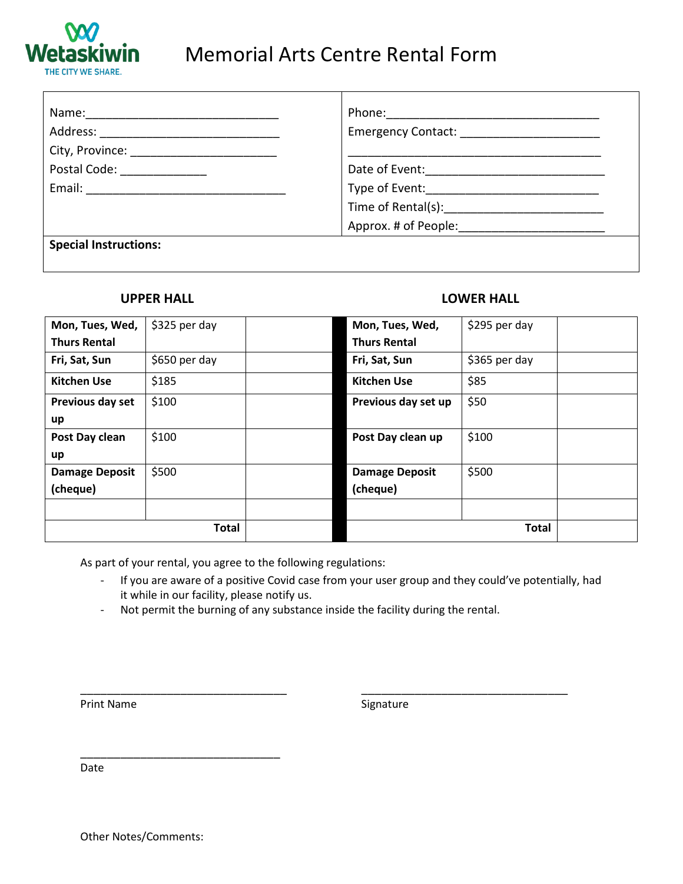

## Memorial Arts Centre Rental Form

| Name: ___________________                                                                            | Phone: _________________ |
|------------------------------------------------------------------------------------------------------|--------------------------|
|                                                                                                      |                          |
|                                                                                                      |                          |
| Postal Code: ______________                                                                          |                          |
| Email: 2008. 2009. 2009. 2009. 2012. 2014. 2015. 2016. 2017. 2018. 2019. 2019. 2017. 2018. 2019. 201 |                          |
|                                                                                                      |                          |
|                                                                                                      |                          |
| <b>Special Instructions:</b>                                                                         |                          |

## **UPPER HALL LOWER HALL**

| Mon, Tues, Wed,       | \$325 per day |              | Mon, Tues, Wed,       | \$295 per day |  |
|-----------------------|---------------|--------------|-----------------------|---------------|--|
| <b>Thurs Rental</b>   |               |              | <b>Thurs Rental</b>   |               |  |
| Fri, Sat, Sun         | \$650 per day |              | Fri, Sat, Sun         | \$365 per day |  |
| <b>Kitchen Use</b>    | \$185         |              | <b>Kitchen Use</b>    | \$85          |  |
| Previous day set      | \$100         |              | Previous day set up   | \$50          |  |
| up                    |               |              |                       |               |  |
| Post Day clean        | \$100         |              | Post Day clean up     | \$100         |  |
| up                    |               |              |                       |               |  |
| <b>Damage Deposit</b> | \$500         |              | <b>Damage Deposit</b> | \$500         |  |
| (cheque)              |               |              | (cheque)              |               |  |
|                       |               |              |                       |               |  |
| <b>Total</b>          |               | <b>Total</b> |                       |               |  |

As part of your rental, you agree to the following regulations:

- If you are aware of a positive Covid case from your user group and they could've potentially, had it while in our facility, please notify us.
- Not permit the burning of any substance inside the facility during the rental.

\_\_\_\_\_\_\_\_\_\_\_\_\_\_\_\_\_\_\_\_\_\_\_\_\_\_\_\_\_\_\_ \_\_\_\_\_\_\_\_\_\_\_\_\_\_\_\_\_\_\_\_\_\_\_\_\_\_\_\_\_\_\_

Print Name Signature

Date

\_\_\_\_\_\_\_\_\_\_\_\_\_\_\_\_\_\_\_\_\_\_\_\_\_\_\_\_\_\_